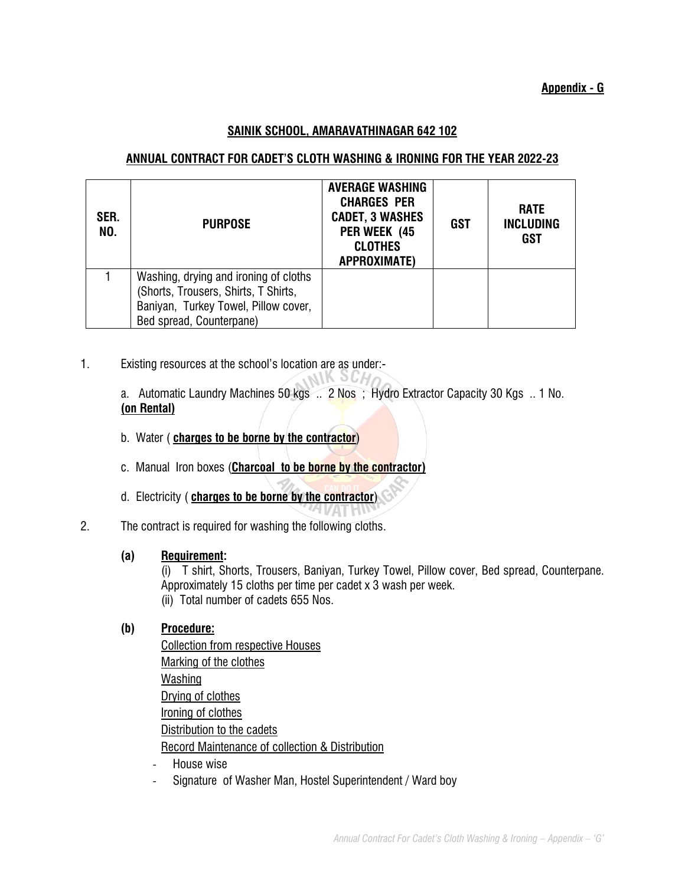### **SAINIK SCHOOL, AMARAVATHINAGAR 642 102**

## **ANNUAL CONTRACT FOR CADET'S CLOTH WASHING & IRONING FOR THE YEAR 2022-23**

| SER.<br>NO. | <b>PURPOSE</b>                                                                                                                                    | <b>AVERAGE WASHING</b><br><b>CHARGES PER</b><br><b>CADET, 3 WASHES</b><br>PER WEEK (45<br><b>CLOTHES</b><br><b>APPROXIMATE)</b> | <b>GST</b> | <b>RATE</b><br><b>INCLUDING</b><br><b>GST</b> |
|-------------|---------------------------------------------------------------------------------------------------------------------------------------------------|---------------------------------------------------------------------------------------------------------------------------------|------------|-----------------------------------------------|
|             | Washing, drying and ironing of cloths<br>(Shorts, Trousers, Shirts, T Shirts,<br>Baniyan, Turkey Towel, Pillow cover,<br>Bed spread, Counterpane) |                                                                                                                                 |            |                                               |

1. Existing resources at the school's location are as under:-

 a. Automatic Laundry Machines 50 kgs .. 2 Nos ; Hydro Extractor Capacity 30 Kgs .. 1 No. **(on Rental)**

NIK OCH

**LA VATHU** 

- b. Water ( **charges to be borne by the contractor**)
- c. Manual Iron boxes (**Charcoal to be borne by the contractor)**
- d. Electricity ( **charges to be borne by the contractor**)
- 2. The contract is required for washing the following cloths.

#### **(a) Requirement:**

(i) T shirt, Shorts, Trousers, Baniyan, Turkey Towel, Pillow cover, Bed spread, Counterpane. Approximately 15 cloths per time per cadet x 3 wash per week. (ii) Total number of cadets 655 Nos.

## **(b) Procedure:**

| <b>Collection from respective Houses</b>        |
|-------------------------------------------------|
| Marking of the clothes                          |
| Washing                                         |
| Drying of clothes                               |
| Ironing of clothes                              |
| Distribution to the cadets                      |
| Record Maintenance of collection & Distribution |

- House wise
- Signature of Washer Man, Hostel Superintendent / Ward boy